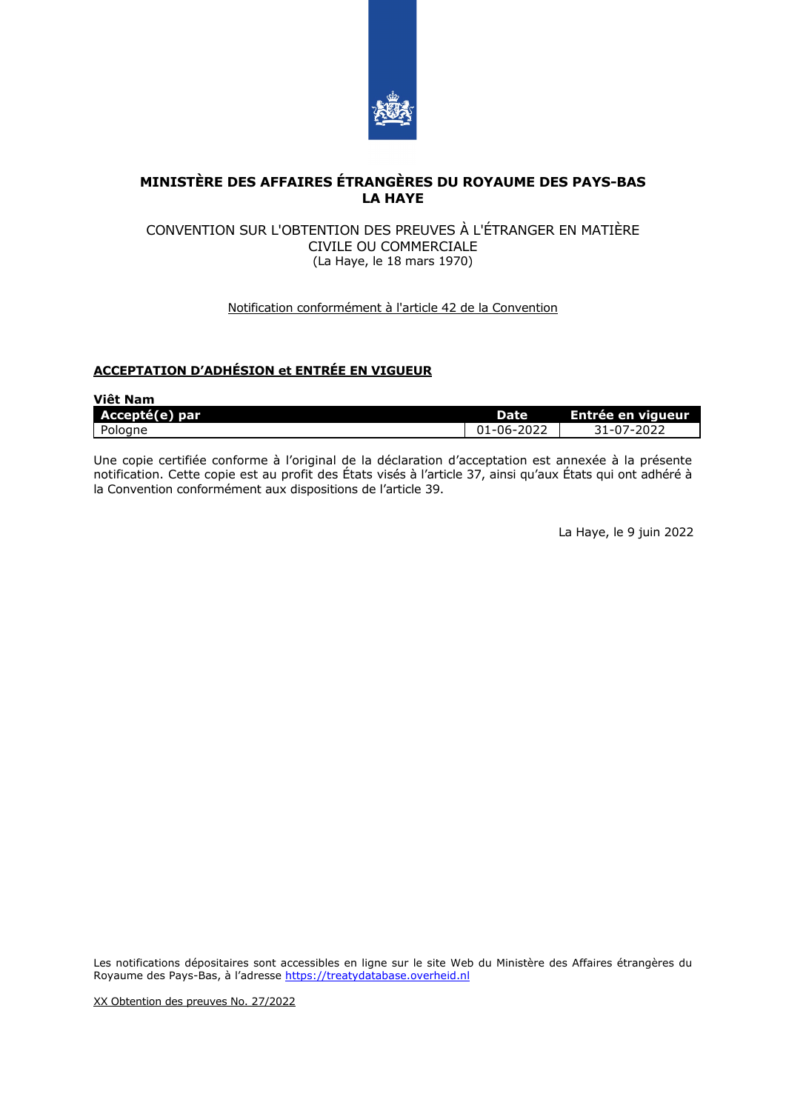

# **MINISTÈRE DES AFFAIRES ÉTRANGÈRES DU ROYAUME DES PAYS-BAS LA HAYE**

#### CONVENTION SUR L'OBTENTION DES PREUVES À L'ÉTRANGER EN MATIÈRE CIVILE OU COMMERCIALE (La Haye, le 18 mars 1970)

## Notification conformément à l'article 42 de la Convention

## **ACCEPTATION D'ADHÉSION et ENTRÉE EN VIGUEUR**

| Việt Nam       |            |                   |
|----------------|------------|-------------------|
| Accepté(e) par | Date       | Entrée en vigueur |
| Pologne        | 01-06-2022 | 31-07-2022        |

Une copie certifiée conforme à l'original de la déclaration d'acceptation est annexée à la présente notification. Cette copie est au profit des États visés à l'article 37, ainsi qu'aux États qui ont adhéré à la Convention conformément aux dispositions de l'article 39.

La Haye, le 9 juin 2022

Les notifications dépositaires sont accessibles en ligne sur le site Web du Ministère des Affaires étrangères du Royaume des Pays-Bas, à l'adresse [https://treatydatabase.overheid.nl](https://treatydatabase.overheid.nl/)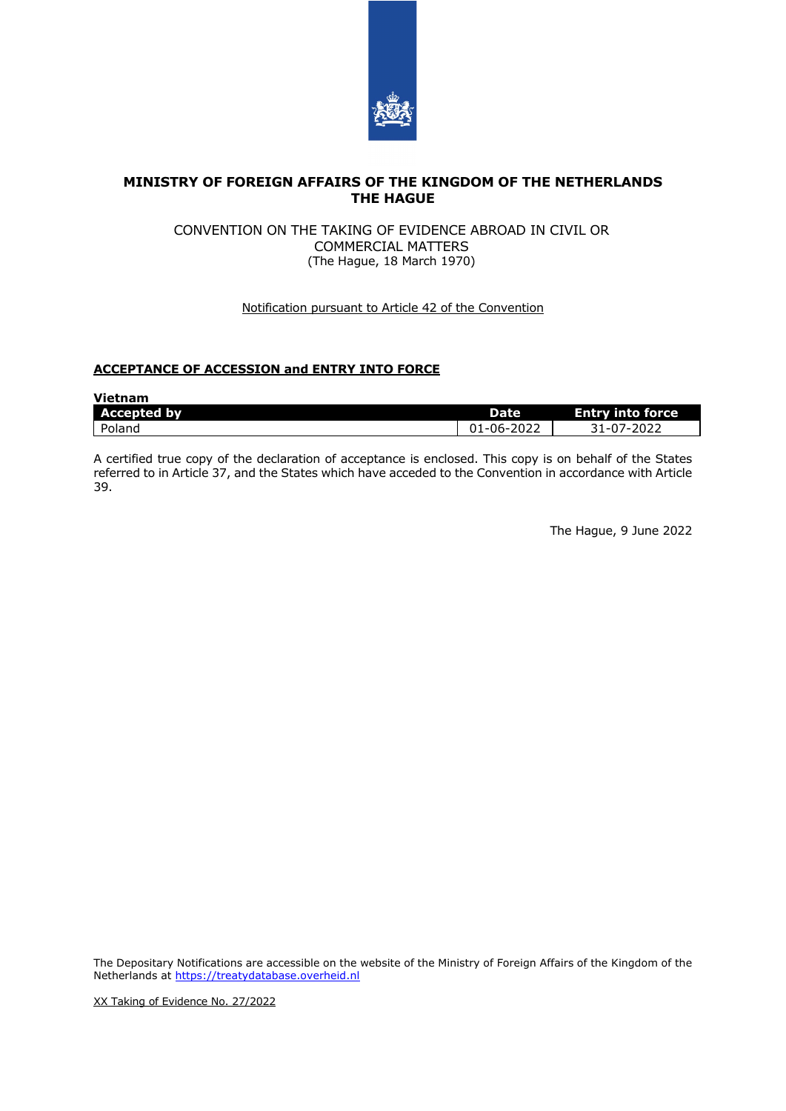

## **MINISTRY OF FOREIGN AFFAIRS OF THE KINGDOM OF THE NETHERLANDS THE HAGUE**

#### CONVENTION ON THE TAKING OF EVIDENCE ABROAD IN CIVIL OR COMMERCIAL MATTERS (The Hague, 18 March 1970)

#### Notification pursuant to Article 42 of the Convention

# **ACCEPTANCE OF ACCESSION and ENTRY INTO FORCE**

| <b>Vietnam</b>     |            |                         |
|--------------------|------------|-------------------------|
| <b>Accepted by</b> | Date       | <b>Entry into force</b> |
| Poland             | 01-06-2022 | 31-07-2022              |

A certified true copy of the declaration of acceptance is enclosed. This copy is on behalf of the States referred to in Article 37, and the States which have acceded to the Convention in accordance with Article 39.

The Hague, 9 June 2022

The Depositary Notifications are accessible on the website of the Ministry of Foreign Affairs of the Kingdom of the Netherlands at [https://treatydatabase.overheid.nl](https://treatydatabase.overheid.nl/)

XX Taking of Evidence No. 27/2022